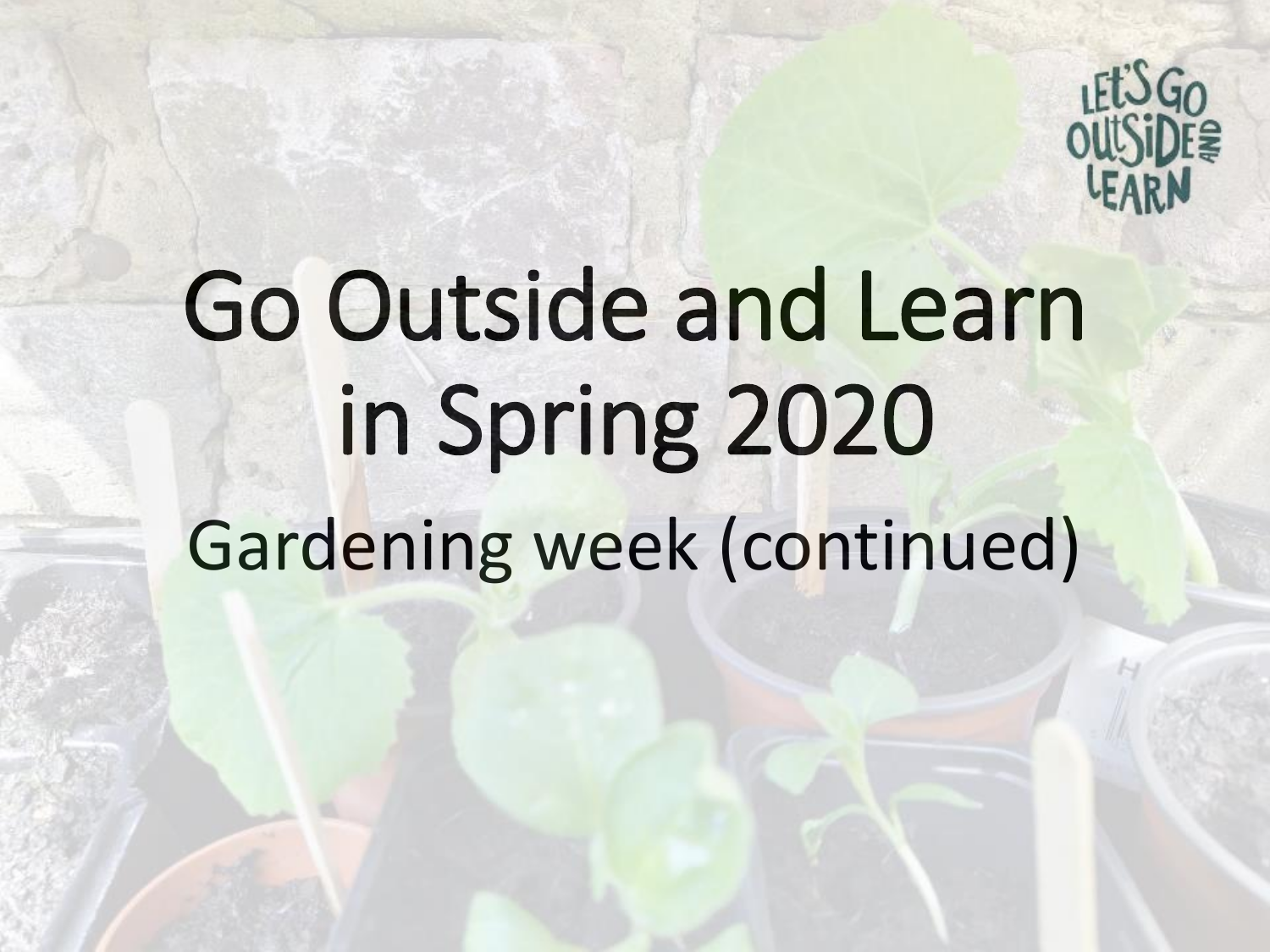

## Go Outside and Learn in Spring 2020 Gardening week (continued)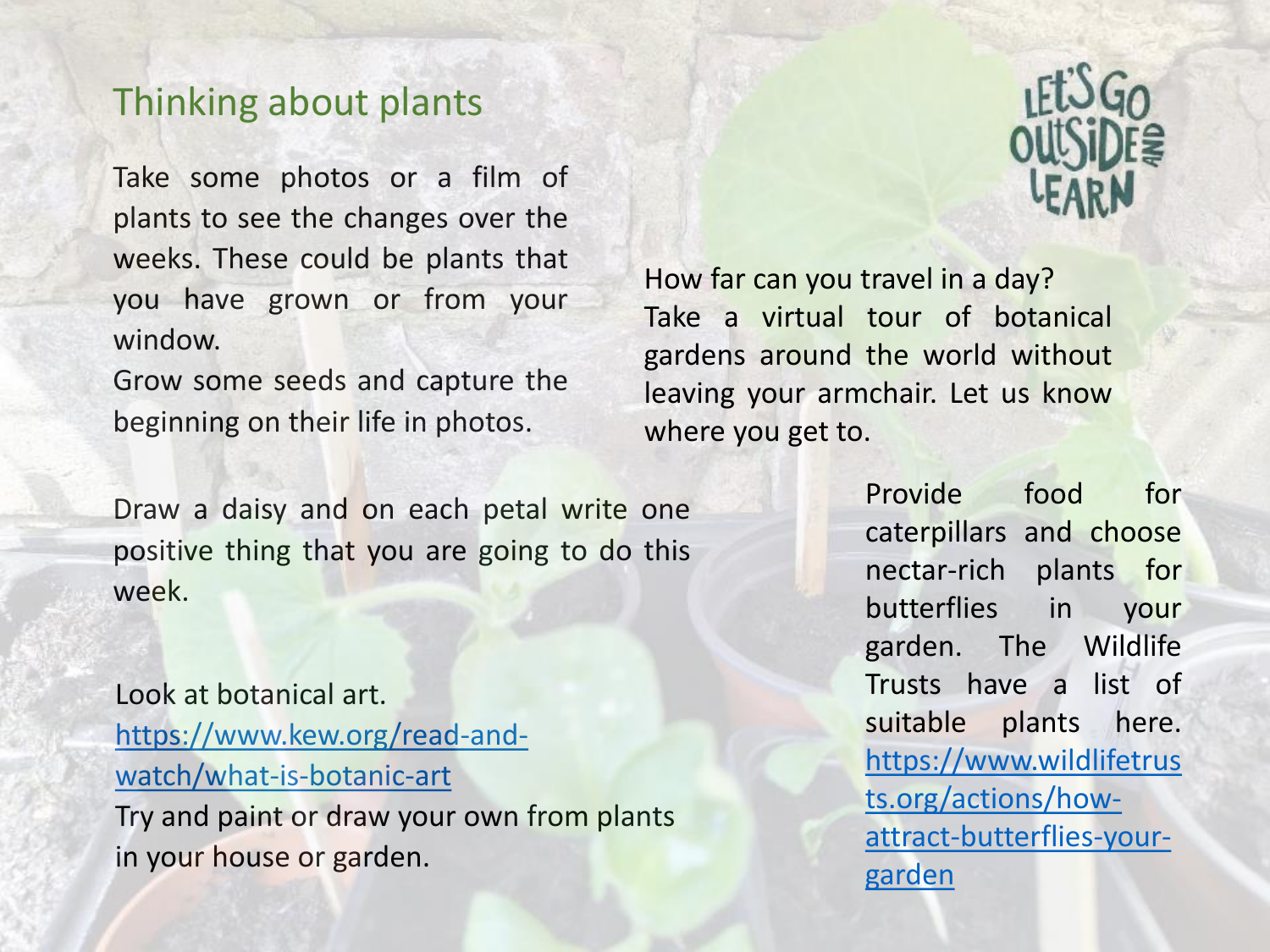## Thinking about plants

Take some photos or a film of plants to see the changes over the weeks. These could be plants that you have grown or from your window.

Grow some seeds and capture the beginning on their life in photos.

Draw a daisy and on each petal write one positive thing that you are going to do this week.

Look at botanical art. [https://www.kew.org/read-and](https://www.kew.org/read-and-watch/what-is-botanic-art)watch/what-is-botanic-art Try and paint or draw your own from plants in your house or garden.



How far can you travel in a day? Take a virtual tour of botanical gardens around the world without leaving your armchair. Let us know where you get to.

> Provide food for caterpillars and choose nectar-rich plants for butterflies in your garden. The Wildlife Trusts have a list of suitable plants here. https://www.wildlifetrus ts.org/actions/how[attract-butterflies-your](https://www.wildlifetrusts.org/actions/how-attract-butterflies-your-garden)garden